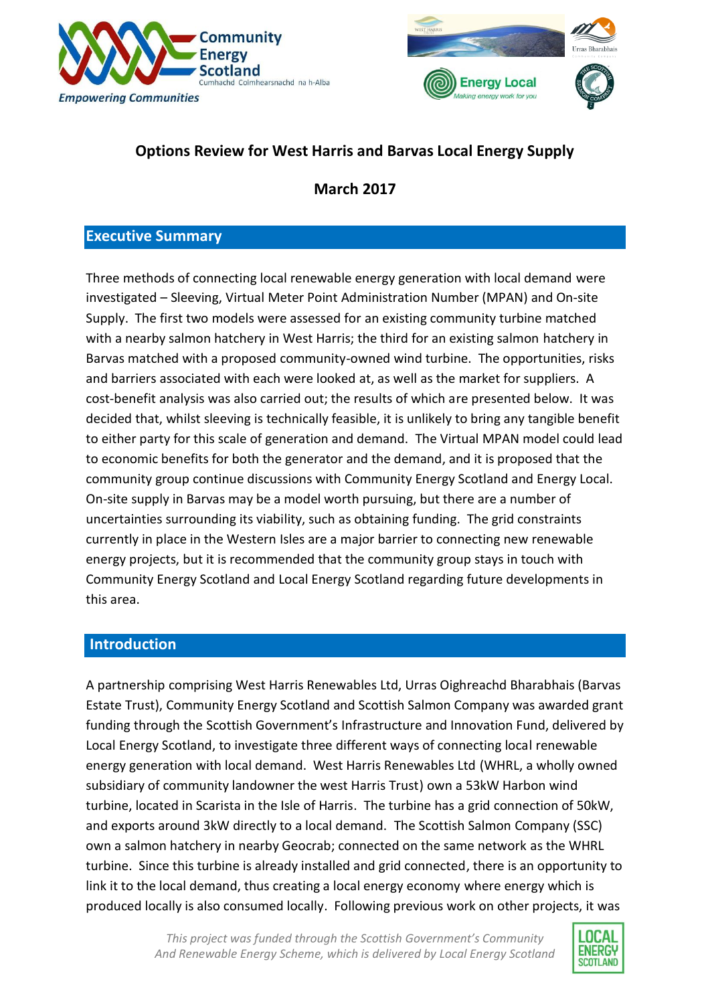



# **Options Review for West Harris and Barvas Local Energy Supply**

# **March 2017**

## **Executive Summary**

Three methods of connecting local renewable energy generation with local demand were investigated – Sleeving, Virtual Meter Point Administration Number (MPAN) and On-site Supply. The first two models were assessed for an existing community turbine matched with a nearby salmon hatchery in West Harris; the third for an existing salmon hatchery in Barvas matched with a proposed community-owned wind turbine. The opportunities, risks and barriers associated with each were looked at, as well as the market for suppliers. A cost-benefit analysis was also carried out; the results of which are presented below. It was decided that, whilst sleeving is technically feasible, it is unlikely to bring any tangible benefit to either party for this scale of generation and demand. The Virtual MPAN model could lead to economic benefits for both the generator and the demand, and it is proposed that the community group continue discussions with Community Energy Scotland and Energy Local. On-site supply in Barvas may be a model worth pursuing, but there are a number of uncertainties surrounding its viability, such as obtaining funding. The grid constraints currently in place in the Western Isles are a major barrier to connecting new renewable energy projects, but it is recommended that the community group stays in touch with Community Energy Scotland and Local Energy Scotland regarding future developments in this area.

## **Introduction**

A partnership comprising West Harris Renewables Ltd, Urras Oighreachd Bharabhais (Barvas Estate Trust), Community Energy Scotland and Scottish Salmon Company was awarded grant funding through the Scottish Government's Infrastructure and Innovation Fund, delivered by Local Energy Scotland, to investigate three different ways of connecting local renewable energy generation with local demand. West Harris Renewables Ltd (WHRL, a wholly owned subsidiary of community landowner the west Harris Trust) own a 53kW Harbon wind turbine, located in Scarista in the Isle of Harris. The turbine has a grid connection of 50kW, and exports around 3kW directly to a local demand. The Scottish Salmon Company (SSC) own a salmon hatchery in nearby Geocrab; connected on the same network as the WHRL turbine. Since this turbine is already installed and grid connected, there is an opportunity to link it to the local demand, thus creating a local energy economy where energy which is produced locally is also consumed locally. Following previous work on other projects, it was

> *This project was funded through the Scottish Government's Community And Renewable Energy Scheme, which is delivered by Local Energy Scotland*

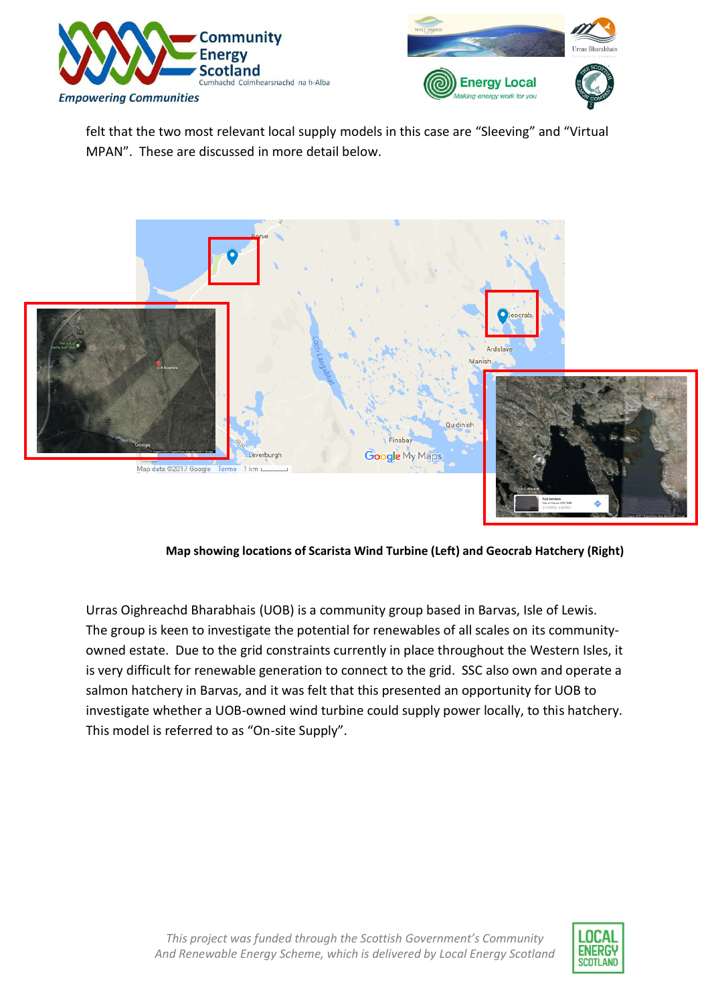



felt that the two most relevant local supply models in this case are "Sleeving" and "Virtual MPAN". These are discussed in more detail below.



#### **Map showing locations of Scarista Wind Turbine (Left) and Geocrab Hatchery (Right)**

Urras Oighreachd Bharabhais (UOB) is a community group based in Barvas, Isle of Lewis. The group is keen to investigate the potential for renewables of all scales on its communityowned estate. Due to the grid constraints currently in place throughout the Western Isles, it is very difficult for renewable generation to connect to the grid. SSC also own and operate a salmon hatchery in Barvas, and it was felt that this presented an opportunity for UOB to investigate whether a UOB-owned wind turbine could supply power locally, to this hatchery. This model is referred to as "On-site Supply".

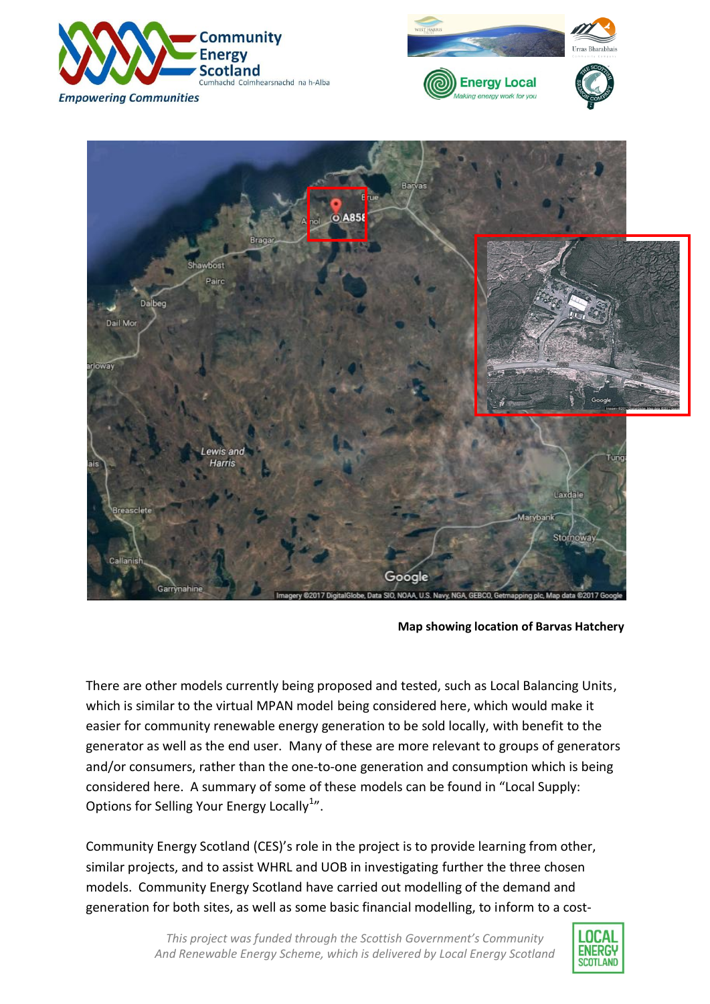





#### **Map showing location of Barvas Hatchery**

There are other models currently being proposed and tested, such as Local Balancing Units, which is similar to the virtual MPAN model being considered here, which would make it easier for community renewable energy generation to be sold locally, with benefit to the generator as well as the end user. Many of these are more relevant to groups of generators and/or consumers, rather than the one-to-one generation and consumption which is being considered here. A summary of some of these models can be found in "Local Supply: Options for Selling Your Energy Locally $1''$ .

Community Energy Scotland (CES)'s role in the project is to provide learning from other, similar projects, and to assist WHRL and UOB in investigating further the three chosen models. Community Energy Scotland have carried out modelling of the demand and generation for both sites, as well as some basic financial modelling, to inform to a cost-

> *This project was funded through the Scottish Government's Community And Renewable Energy Scheme, which is delivered by Local Energy Scotland*

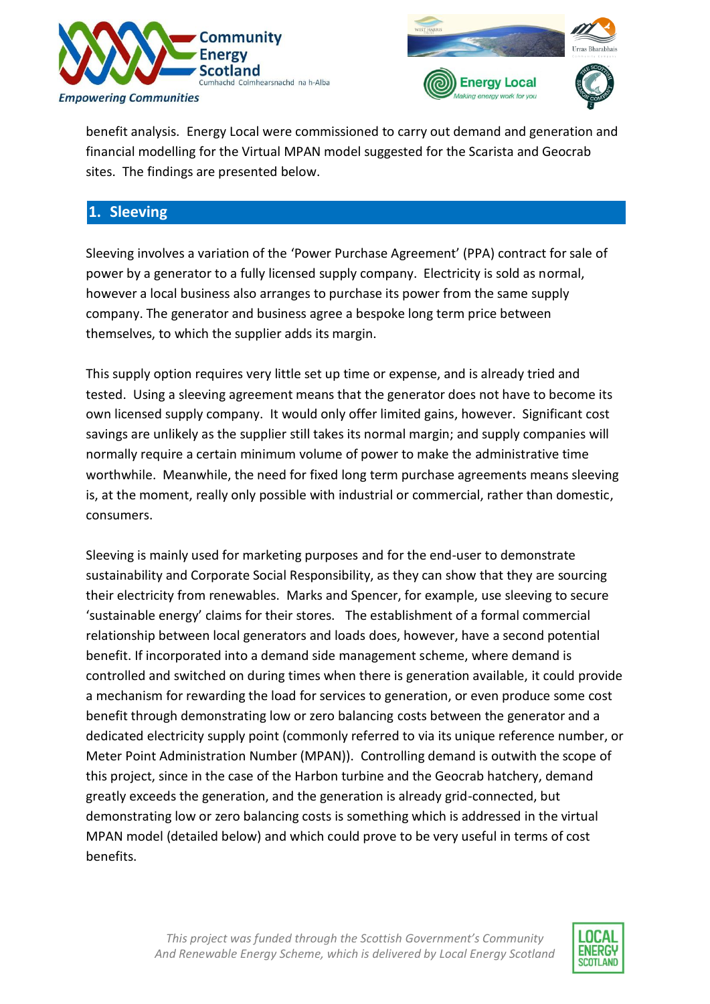



benefit analysis. Energy Local were commissioned to carry out demand and generation and financial modelling for the Virtual MPAN model suggested for the Scarista and Geocrab sites. The findings are presented below.

# **1. Sleeving**

Sleeving involves a variation of the 'Power Purchase Agreement' (PPA) contract for sale of power by a generator to a fully licensed supply company. Electricity is sold as normal, however a local business also arranges to purchase its power from the same supply company. The generator and business agree a bespoke long term price between themselves, to which the supplier adds its margin.

This supply option requires very little set up time or expense, and is already tried and tested. Using a sleeving agreement means that the generator does not have to become its own licensed supply company. It would only offer limited gains, however. Significant cost savings are unlikely as the supplier still takes its normal margin; and supply companies will normally require a certain minimum volume of power to make the administrative time worthwhile. Meanwhile, the need for fixed long term purchase agreements means sleeving is, at the moment, really only possible with industrial or commercial, rather than domestic, consumers.

Sleeving is mainly used for marketing purposes and for the end-user to demonstrate sustainability and Corporate Social Responsibility, as they can show that they are sourcing their electricity from renewables. Marks and Spencer, for example, use sleeving to secure 'sustainable energy' claims for their stores. The establishment of a formal commercial relationship between local generators and loads does, however, have a second potential benefit. If incorporated into a demand side management scheme, where demand is controlled and switched on during times when there is generation available, it could provide a mechanism for rewarding the load for services to generation, or even produce some cost benefit through demonstrating low or zero balancing costs between the generator and a dedicated electricity supply point (commonly referred to via its unique reference number, or Meter Point Administration Number (MPAN)). Controlling demand is outwith the scope of this project, since in the case of the Harbon turbine and the Geocrab hatchery, demand greatly exceeds the generation, and the generation is already grid-connected, but demonstrating low or zero balancing costs is something which is addressed in the virtual MPAN model (detailed below) and which could prove to be very useful in terms of cost benefits.

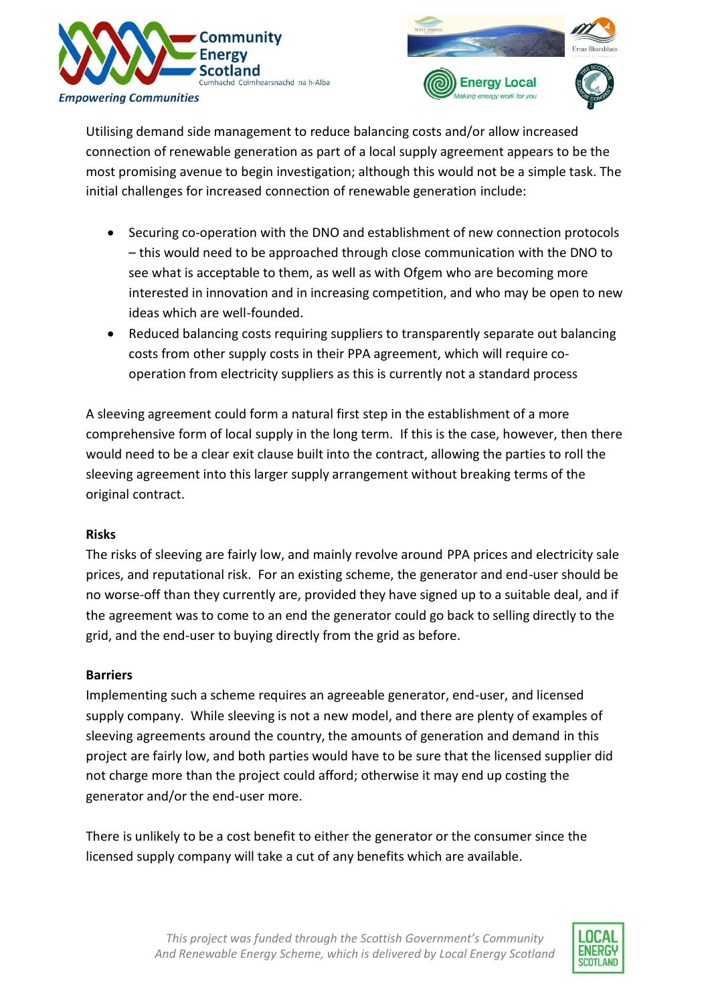



Utilising demand side management to reduce balancing costs and/or allow increased connection of renewable generation as part of a local supply agreement appears to be the most promising avenue to begin investigation; although this would not be a simple task. The initial challenges for increased connection of renewable generation include:

- Securing co-operation with the DNO and establishment of new connection protocols – this would need to be approached through close communication with the DNO to see what is acceptable to them, as well as with Ofgem who are becoming more interested in innovation and in increasing competition, and who may be open to new ideas which are well-founded.
- Reduced balancing costs requiring suppliers to transparently separate out balancing costs from other supply costs in their PPA agreement, which will require cooperation from electricity suppliers as this is currently not a standard process

A sleeving agreement could form a natural first step in the establishment of a more comprehensive form of local supply in the long term. If this is the case, however, then there would need to be a clear exit clause built into the contract, allowing the parties to roll the sleeving agreement into this larger supply arrangement without breaking terms of the original contract.

## **Risks**

The risks of sleeving are fairly low, and mainly revolve around PPA prices and electricity sale prices, and reputational risk. For an existing scheme, the generator and end-user should be no worse-off than they currently are, provided they have signed up to a suitable deal, and if the agreement was to come to an end the generator could go back to selling directly to the grid, and the end-user to buying directly from the grid as before.

#### **Barriers**

Implementing such a scheme requires an agreeable generator, end-user, and licensed supply company. While sleeving is not a new model, and there are plenty of examples of sleeving agreements around the country, the amounts of generation and demand in this project are fairly low, and both parties would have to be sure that the licensed supplier did not charge more than the project could afford; otherwise it may end up costing the generator and/or the end-user more.

There is unlikely to be a cost benefit to either the generator or the consumer since the licensed supply company will take a cut of any benefits which are available.

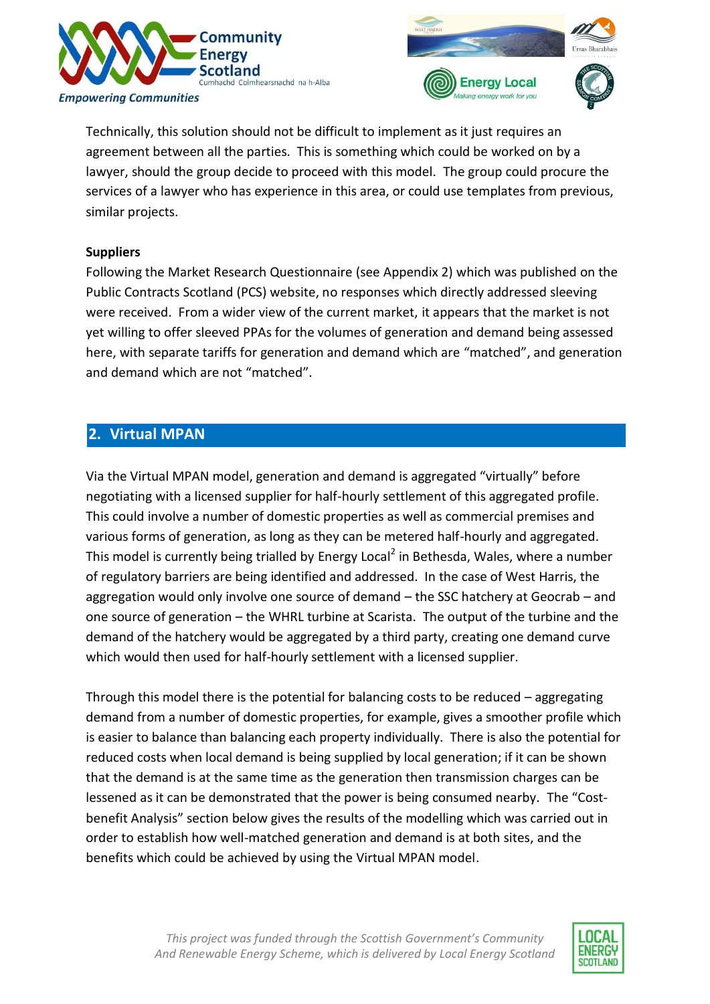



Technically, this solution should not be difficult to implement as it just requires an agreement between all the parties. This is something which could be worked on by a lawyer, should the group decide to proceed with this model. The group could procure the services of a lawyer who has experience in this area, or could use templates from previous, similar projects.

## **Suppliers**

Following the Market Research Questionnaire (see Appendix 2) which was published on the Public Contracts Scotland (PCS) website, no responses which directly addressed sleeving were received. From a wider view of the current market, it appears that the market is not yet willing to offer sleeved PPAs for the volumes of generation and demand being assessed here, with separate tariffs for generation and demand which are "matched", and generation and demand which are not "matched".

## **2. Virtual MPAN**

Via the Virtual MPAN model, generation and demand is aggregated "virtually" before negotiating with a licensed supplier for half-hourly settlement of this aggregated profile. This could involve a number of domestic properties as well as commercial premises and various forms of generation, as long as they can be metered half-hourly and aggregated. This model is currently being trialled by Energy Local<sup>2</sup> in Bethesda, Wales, where a number of regulatory barriers are being identified and addressed. In the case of West Harris, the aggregation would only involve one source of demand – the SSC hatchery at Geocrab – and one source of generation – the WHRL turbine at Scarista. The output of the turbine and the demand of the hatchery would be aggregated by a third party, creating one demand curve which would then used for half-hourly settlement with a licensed supplier.

Through this model there is the potential for balancing costs to be reduced – aggregating demand from a number of domestic properties, for example, gives a smoother profile which is easier to balance than balancing each property individually. There is also the potential for reduced costs when local demand is being supplied by local generation; if it can be shown that the demand is at the same time as the generation then transmission charges can be lessened as it can be demonstrated that the power is being consumed nearby. The "Costbenefit Analysis" section below gives the results of the modelling which was carried out in order to establish how well-matched generation and demand is at both sites, and the benefits which could be achieved by using the Virtual MPAN model.

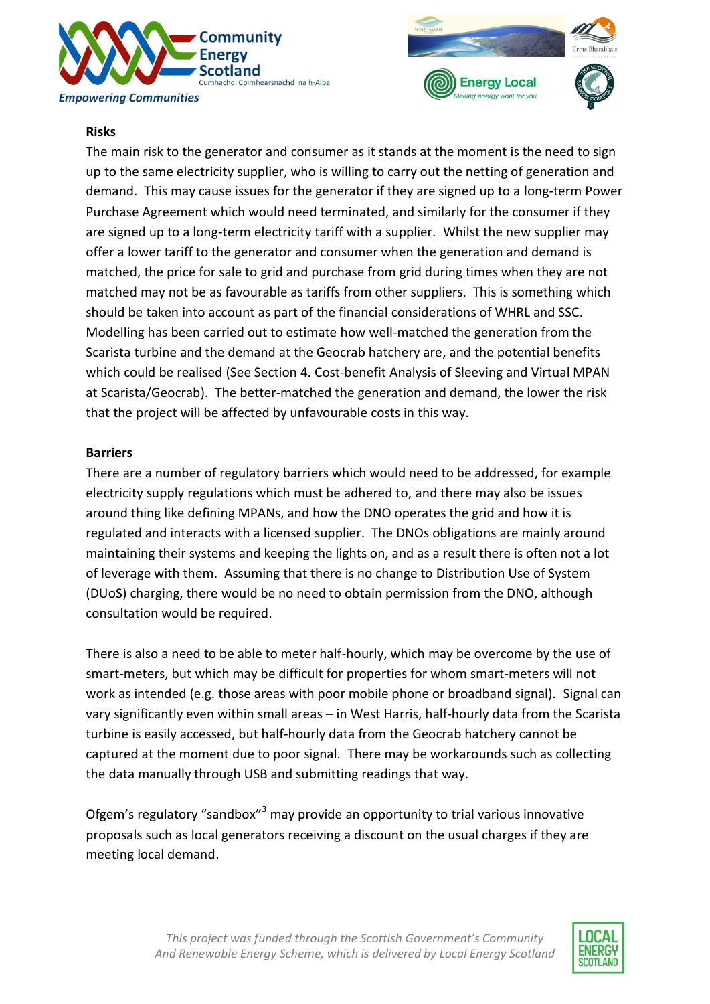



### **Risks**

The main risk to the generator and consumer as it stands at the moment is the need to sign up to the same electricity supplier, who is willing to carry out the netting of generation and demand. This may cause issues for the generator if they are signed up to a long-term Power Purchase Agreement which would need terminated, and similarly for the consumer if they are signed up to a long-term electricity tariff with a supplier. Whilst the new supplier may offer a lower tariff to the generator and consumer when the generation and demand is matched, the price for sale to grid and purchase from grid during times when they are not matched may not be as favourable as tariffs from other suppliers. This is something which should be taken into account as part of the financial considerations of WHRL and SSC. Modelling has been carried out to estimate how well-matched the generation from the Scarista turbine and the demand at the Geocrab hatchery are, and the potential benefits which could be realised (See Section 4. Cost-benefit Analysis of Sleeving and Virtual MPAN at Scarista/Geocrab). The better-matched the generation and demand, the lower the risk that the project will be affected by unfavourable costs in this way.

#### **Barriers**

There are a number of regulatory barriers which would need to be addressed, for example electricity supply regulations which must be adhered to, and there may also be issues around thing like defining MPANs, and how the DNO operates the grid and how it is regulated and interacts with a licensed supplier. The DNOs obligations are mainly around maintaining their systems and keeping the lights on, and as a result there is often not a lot of leverage with them. Assuming that there is no change to Distribution Use of System (DUoS) charging, there would be no need to obtain permission from the DNO, although consultation would be required.

There is also a need to be able to meter half-hourly, which may be overcome by the use of smart-meters, but which may be difficult for properties for whom smart-meters will not work as intended (e.g. those areas with poor mobile phone or broadband signal). Signal can vary significantly even within small areas – in West Harris, half-hourly data from the Scarista turbine is easily accessed, but half-hourly data from the Geocrab hatchery cannot be captured at the moment due to poor signal. There may be workarounds such as collecting the data manually through USB and submitting readings that way.

Ofgem's regulatory "sandbox"<sup>3</sup> may provide an opportunity to trial various innovative proposals such as local generators receiving a discount on the usual charges if they are meeting local demand.

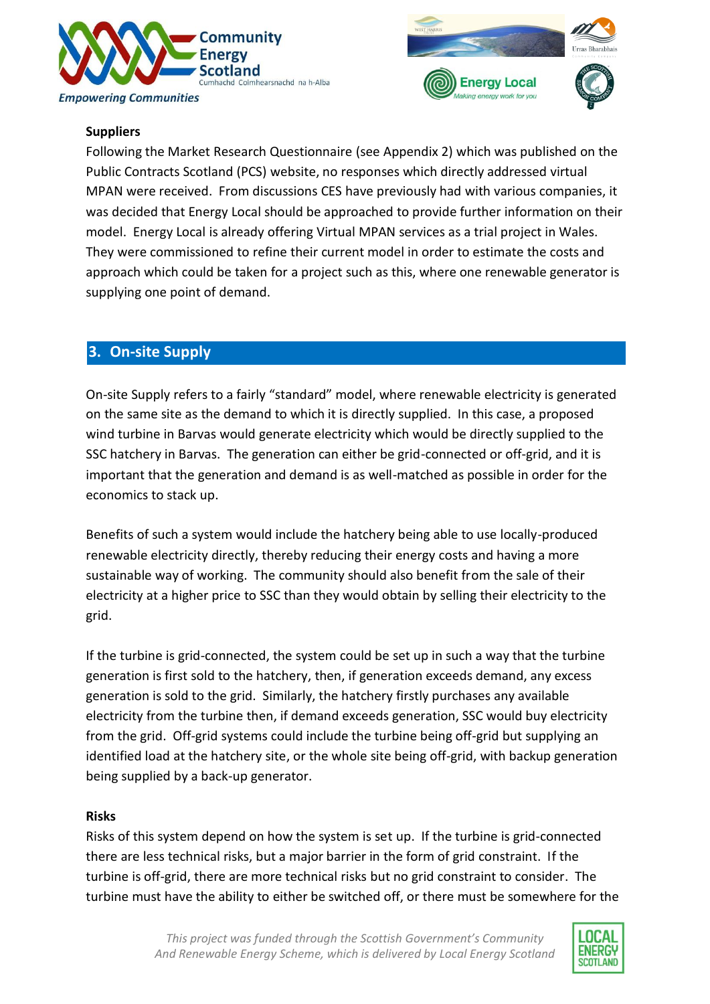



## **Suppliers**

Following the Market Research Questionnaire (see Appendix 2) which was published on the Public Contracts Scotland (PCS) website, no responses which directly addressed virtual MPAN were received. From discussions CES have previously had with various companies, it was decided that Energy Local should be approached to provide further information on their model. Energy Local is already offering Virtual MPAN services as a trial project in Wales. They were commissioned to refine their current model in order to estimate the costs and approach which could be taken for a project such as this, where one renewable generator is supplying one point of demand.

## **3. On-site Supply**

On-site Supply refers to a fairly "standard" model, where renewable electricity is generated on the same site as the demand to which it is directly supplied. In this case, a proposed wind turbine in Barvas would generate electricity which would be directly supplied to the SSC hatchery in Barvas. The generation can either be grid-connected or off-grid, and it is important that the generation and demand is as well-matched as possible in order for the economics to stack up.

Benefits of such a system would include the hatchery being able to use locally-produced renewable electricity directly, thereby reducing their energy costs and having a more sustainable way of working. The community should also benefit from the sale of their electricity at a higher price to SSC than they would obtain by selling their electricity to the grid.

If the turbine is grid-connected, the system could be set up in such a way that the turbine generation is first sold to the hatchery, then, if generation exceeds demand, any excess generation is sold to the grid. Similarly, the hatchery firstly purchases any available electricity from the turbine then, if demand exceeds generation, SSC would buy electricity from the grid. Off-grid systems could include the turbine being off-grid but supplying an identified load at the hatchery site, or the whole site being off-grid, with backup generation being supplied by a back-up generator.

#### **Risks**

Risks of this system depend on how the system is set up. If the turbine is grid-connected there are less technical risks, but a major barrier in the form of grid constraint. If the turbine is off-grid, there are more technical risks but no grid constraint to consider. The turbine must have the ability to either be switched off, or there must be somewhere for the

> *This project was funded through the Scottish Government's Community And Renewable Energy Scheme, which is delivered by Local Energy Scotland*

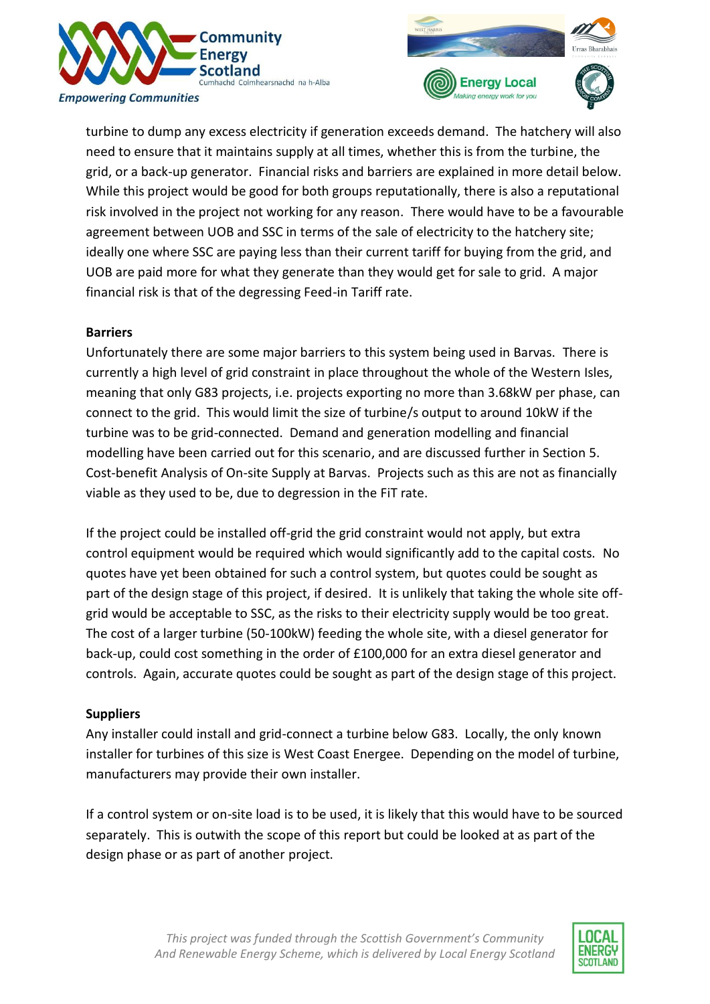



turbine to dump any excess electricity if generation exceeds demand. The hatchery will also need to ensure that it maintains supply at all times, whether this is from the turbine, the

grid, or a back-up generator. Financial risks and barriers are explained in more detail below. While this project would be good for both groups reputationally, there is also a reputational risk involved in the project not working for any reason. There would have to be a favourable agreement between UOB and SSC in terms of the sale of electricity to the hatchery site; ideally one where SSC are paying less than their current tariff for buying from the grid, and UOB are paid more for what they generate than they would get for sale to grid. A major financial risk is that of the degressing Feed-in Tariff rate.

## **Barriers**

Unfortunately there are some major barriers to this system being used in Barvas. There is currently a high level of grid constraint in place throughout the whole of the Western Isles, meaning that only G83 projects, i.e. projects exporting no more than 3.68kW per phase, can connect to the grid. This would limit the size of turbine/s output to around 10kW if the turbine was to be grid-connected. Demand and generation modelling and financial modelling have been carried out for this scenario, and are discussed further in Section 5. Cost-benefit Analysis of On-site Supply at Barvas. Projects such as this are not as financially viable as they used to be, due to degression in the FiT rate.

If the project could be installed off-grid the grid constraint would not apply, but extra control equipment would be required which would significantly add to the capital costs. No quotes have yet been obtained for such a control system, but quotes could be sought as part of the design stage of this project, if desired. It is unlikely that taking the whole site offgrid would be acceptable to SSC, as the risks to their electricity supply would be too great. The cost of a larger turbine (50-100kW) feeding the whole site, with a diesel generator for back-up, could cost something in the order of £100,000 for an extra diesel generator and controls. Again, accurate quotes could be sought as part of the design stage of this project.

## **Suppliers**

Any installer could install and grid-connect a turbine below G83. Locally, the only known installer for turbines of this size is West Coast Energee. Depending on the model of turbine, manufacturers may provide their own installer.

If a control system or on-site load is to be used, it is likely that this would have to be sourced separately. This is outwith the scope of this report but could be looked at as part of the design phase or as part of another project.

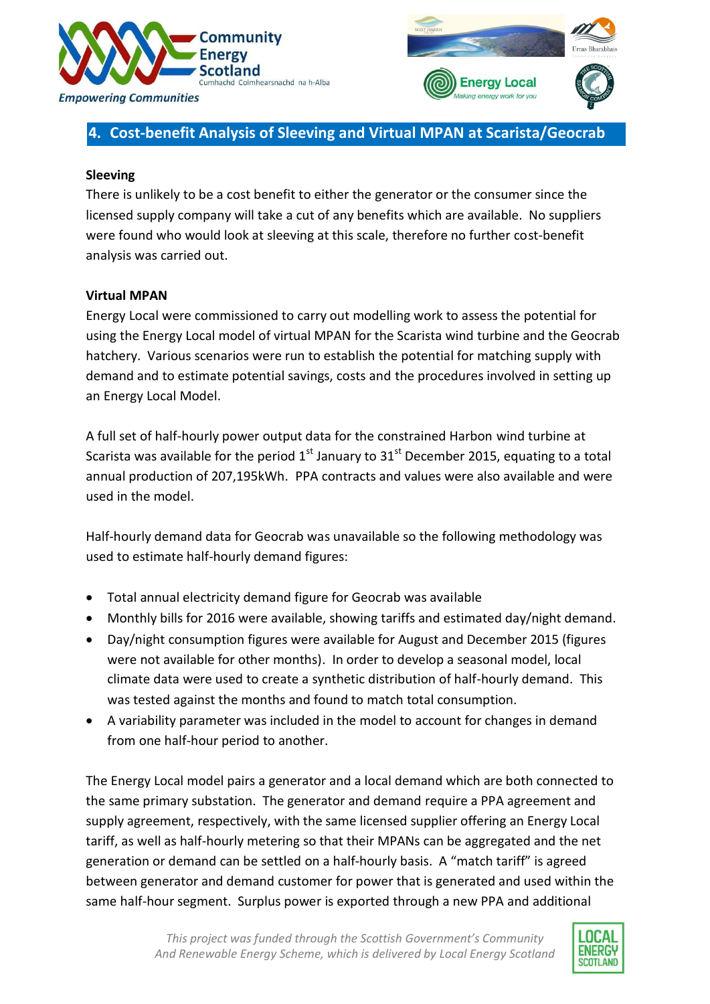



# **4. Cost-benefit Analysis of Sleeving and Virtual MPAN at Scarista/Geocrab**

### **Sleeving**

There is unlikely to be a cost benefit to either the generator or the consumer since the licensed supply company will take a cut of any benefits which are available. No suppliers were found who would look at sleeving at this scale, therefore no further cost-benefit analysis was carried out.

#### **Virtual MPAN**

Energy Local were commissioned to carry out modelling work to assess the potential for using the Energy Local model of virtual MPAN for the Scarista wind turbine and the Geocrab hatchery. Various scenarios were run to establish the potential for matching supply with demand and to estimate potential savings, costs and the procedures involved in setting up an Energy Local Model.

A full set of half-hourly power output data for the constrained Harbon wind turbine at Scarista was available for the period  $1<sup>st</sup>$  January to  $31<sup>st</sup>$  December 2015, equating to a total annual production of 207,195kWh. PPA contracts and values were also available and were used in the model.

Half-hourly demand data for Geocrab was unavailable so the following methodology was used to estimate half-hourly demand figures:

- Total annual electricity demand figure for Geocrab was available
- Monthly bills for 2016 were available, showing tariffs and estimated day/night demand.
- Day/night consumption figures were available for August and December 2015 (figures were not available for other months). In order to develop a seasonal model, local climate data were used to create a synthetic distribution of half-hourly demand. This was tested against the months and found to match total consumption.
- A variability parameter was included in the model to account for changes in demand from one half-hour period to another.

The Energy Local model pairs a generator and a local demand which are both connected to the same primary substation. The generator and demand require a PPA agreement and supply agreement, respectively, with the same licensed supplier offering an Energy Local tariff, as well as half-hourly metering so that their MPANs can be aggregated and the net generation or demand can be settled on a half-hourly basis. A "match tariff" is agreed between generator and demand customer for power that is generated and used within the same half-hour segment. Surplus power is exported through a new PPA and additional

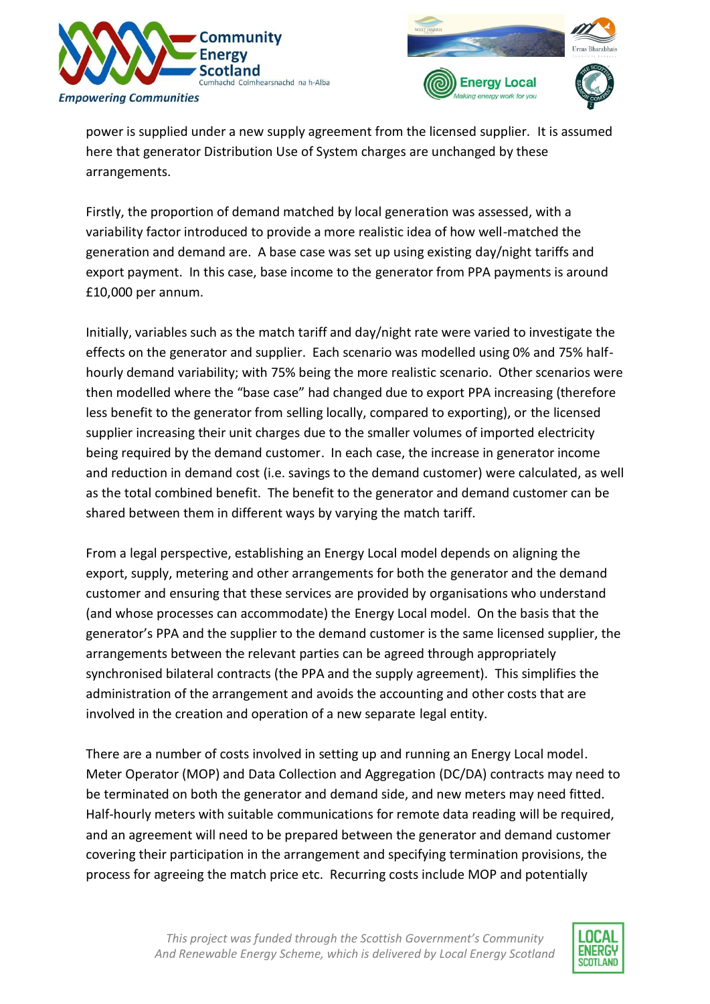



power is supplied under a new supply agreement from the licensed supplier. It is assumed here that generator Distribution Use of System charges are unchanged by these arrangements.

Firstly, the proportion of demand matched by local generation was assessed, with a variability factor introduced to provide a more realistic idea of how well-matched the generation and demand are. A base case was set up using existing day/night tariffs and export payment. In this case, base income to the generator from PPA payments is around £10,000 per annum.

Initially, variables such as the match tariff and day/night rate were varied to investigate the effects on the generator and supplier. Each scenario was modelled using 0% and 75% halfhourly demand variability; with 75% being the more realistic scenario. Other scenarios were then modelled where the "base case" had changed due to export PPA increasing (therefore less benefit to the generator from selling locally, compared to exporting), or the licensed supplier increasing their unit charges due to the smaller volumes of imported electricity being required by the demand customer. In each case, the increase in generator income and reduction in demand cost (i.e. savings to the demand customer) were calculated, as well as the total combined benefit. The benefit to the generator and demand customer can be shared between them in different ways by varying the match tariff.

From a legal perspective, establishing an Energy Local model depends on aligning the export, supply, metering and other arrangements for both the generator and the demand customer and ensuring that these services are provided by organisations who understand (and whose processes can accommodate) the Energy Local model. On the basis that the generator's PPA and the supplier to the demand customer is the same licensed supplier, the arrangements between the relevant parties can be agreed through appropriately synchronised bilateral contracts (the PPA and the supply agreement). This simplifies the administration of the arrangement and avoids the accounting and other costs that are involved in the creation and operation of a new separate legal entity.

There are a number of costs involved in setting up and running an Energy Local model. Meter Operator (MOP) and Data Collection and Aggregation (DC/DA) contracts may need to be terminated on both the generator and demand side, and new meters may need fitted. Half-hourly meters with suitable communications for remote data reading will be required, and an agreement will need to be prepared between the generator and demand customer covering their participation in the arrangement and specifying termination provisions, the process for agreeing the match price etc. Recurring costs include MOP and potentially

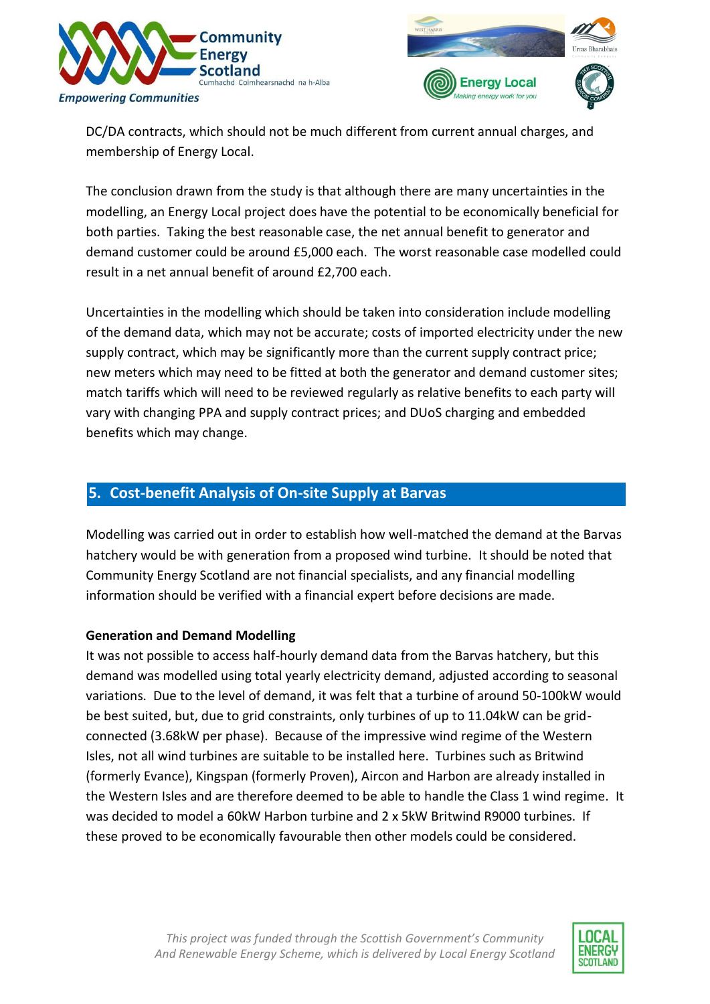



DC/DA contracts, which should not be much different from current annual charges, and membership of Energy Local.

The conclusion drawn from the study is that although there are many uncertainties in the modelling, an Energy Local project does have the potential to be economically beneficial for both parties. Taking the best reasonable case, the net annual benefit to generator and demand customer could be around £5,000 each. The worst reasonable case modelled could result in a net annual benefit of around £2,700 each.

Uncertainties in the modelling which should be taken into consideration include modelling of the demand data, which may not be accurate; costs of imported electricity under the new supply contract, which may be significantly more than the current supply contract price; new meters which may need to be fitted at both the generator and demand customer sites; match tariffs which will need to be reviewed regularly as relative benefits to each party will vary with changing PPA and supply contract prices; and DUoS charging and embedded benefits which may change.

# **5. Cost-benefit Analysis of On-site Supply at Barvas**

Modelling was carried out in order to establish how well-matched the demand at the Barvas hatchery would be with generation from a proposed wind turbine. It should be noted that Community Energy Scotland are not financial specialists, and any financial modelling information should be verified with a financial expert before decisions are made.

## **Generation and Demand Modelling**

It was not possible to access half-hourly demand data from the Barvas hatchery, but this demand was modelled using total yearly electricity demand, adjusted according to seasonal variations. Due to the level of demand, it was felt that a turbine of around 50-100kW would be best suited, but, due to grid constraints, only turbines of up to 11.04kW can be gridconnected (3.68kW per phase). Because of the impressive wind regime of the Western Isles, not all wind turbines are suitable to be installed here. Turbines such as Britwind (formerly Evance), Kingspan (formerly Proven), Aircon and Harbon are already installed in the Western Isles and are therefore deemed to be able to handle the Class 1 wind regime. It was decided to model a 60kW Harbon turbine and 2 x 5kW Britwind R9000 turbines. If these proved to be economically favourable then other models could be considered.

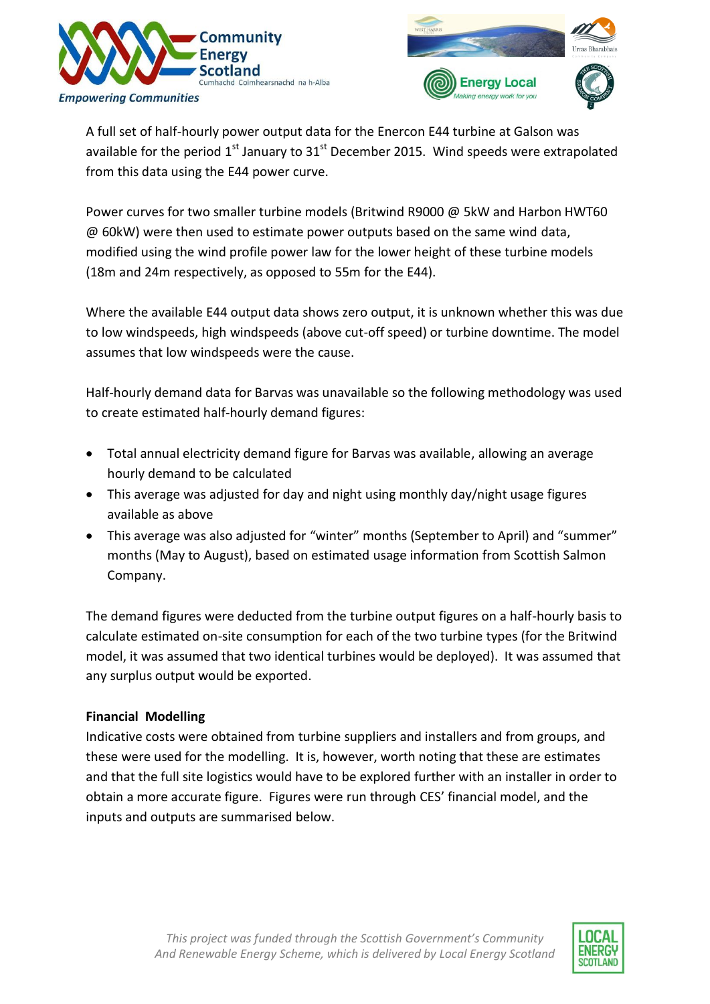



A full set of half-hourly power output data for the Enercon E44 turbine at Galson was available for the period  $1<sup>st</sup>$  January to  $31<sup>st</sup>$  December 2015. Wind speeds were extrapolated from this data using the E44 power curve.

Power curves for two smaller turbine models (Britwind R9000 @ 5kW and Harbon HWT60  $\omega$  60kW) were then used to estimate power outputs based on the same wind data. modified using the wind profile power law for the lower height of these turbine models (18m and 24m respectively, as opposed to 55m for the E44).

Where the available E44 output data shows zero output, it is unknown whether this was due to low windspeeds, high windspeeds (above cut-off speed) or turbine downtime. The model assumes that low windspeeds were the cause.

Half-hourly demand data for Barvas was unavailable so the following methodology was used to create estimated half-hourly demand figures:

- Total annual electricity demand figure for Barvas was available, allowing an average hourly demand to be calculated
- This average was adjusted for day and night using monthly day/night usage figures available as above
- This average was also adjusted for "winter" months (September to April) and "summer" months (May to August), based on estimated usage information from Scottish Salmon Company.

The demand figures were deducted from the turbine output figures on a half-hourly basis to calculate estimated on-site consumption for each of the two turbine types (for the Britwind model, it was assumed that two identical turbines would be deployed). It was assumed that any surplus output would be exported.

## **Financial Modelling**

Indicative costs were obtained from turbine suppliers and installers and from groups, and these were used for the modelling. It is, however, worth noting that these are estimates and that the full site logistics would have to be explored further with an installer in order to obtain a more accurate figure. Figures were run through CES' financial model, and the inputs and outputs are summarised below.

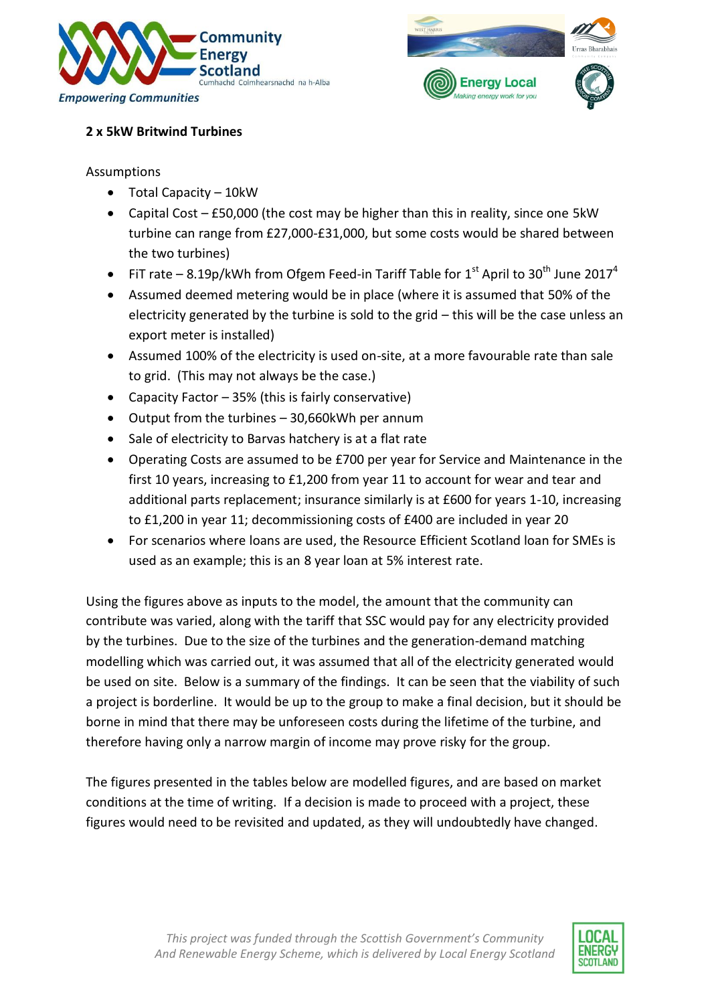



### **2 x 5kW Britwind Turbines**

Assumptions

- Total Capacity 10kW
- Capital Cost  $-$  £50,000 (the cost may be higher than this in reality, since one 5kW turbine can range from £27,000-£31,000, but some costs would be shared between the two turbines)
- FiT rate 8.19p/kWh from Ofgem Feed-in Tariff Table for  $1<sup>st</sup>$  April to 30<sup>th</sup> June 2017<sup>4</sup>
- Assumed deemed metering would be in place (where it is assumed that 50% of the electricity generated by the turbine is sold to the grid – this will be the case unless an export meter is installed)
- Assumed 100% of the electricity is used on-site, at a more favourable rate than sale to grid. (This may not always be the case.)
- Capacity Factor  $-35%$  (this is fairly conservative)
- Output from the turbines 30,660kWh per annum
- Sale of electricity to Barvas hatchery is at a flat rate
- Operating Costs are assumed to be £700 per year for Service and Maintenance in the first 10 years, increasing to £1,200 from year 11 to account for wear and tear and additional parts replacement; insurance similarly is at £600 for years 1-10, increasing to £1,200 in year 11; decommissioning costs of £400 are included in year 20
- For scenarios where loans are used, the Resource Efficient Scotland loan for SMEs is used as an example; this is an 8 year loan at 5% interest rate.

Using the figures above as inputs to the model, the amount that the community can contribute was varied, along with the tariff that SSC would pay for any electricity provided by the turbines. Due to the size of the turbines and the generation-demand matching modelling which was carried out, it was assumed that all of the electricity generated would be used on site. Below is a summary of the findings. It can be seen that the viability of such a project is borderline. It would be up to the group to make a final decision, but it should be borne in mind that there may be unforeseen costs during the lifetime of the turbine, and therefore having only a narrow margin of income may prove risky for the group.

The figures presented in the tables below are modelled figures, and are based on market conditions at the time of writing. If a decision is made to proceed with a project, these figures would need to be revisited and updated, as they will undoubtedly have changed.

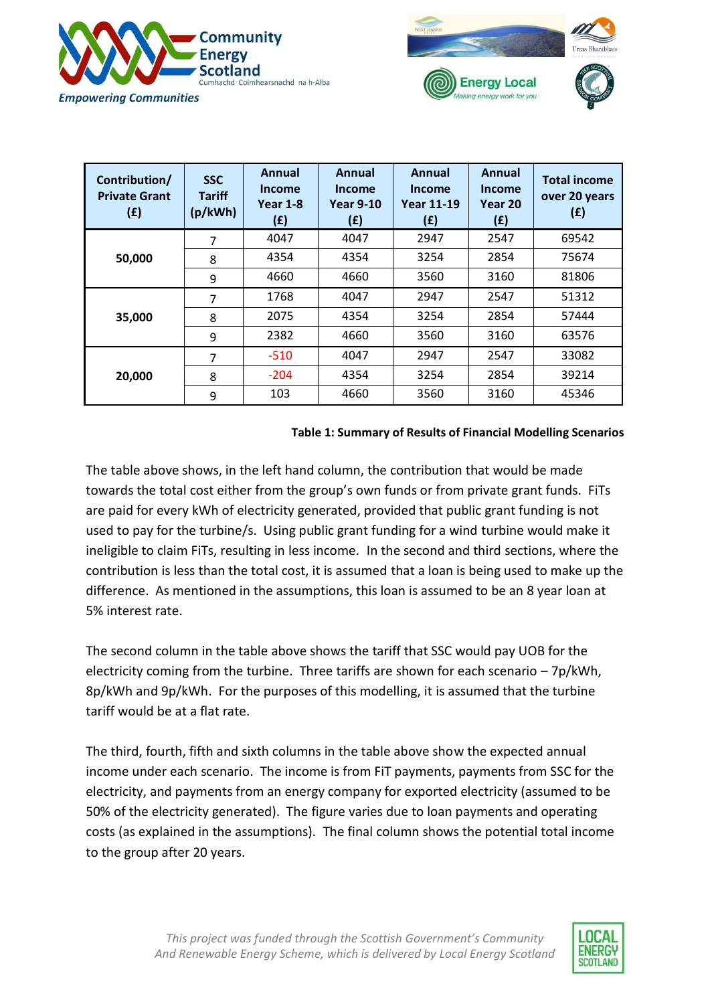



| Contribution/<br><b>Private Grant</b><br>(E) | <b>SSC</b><br><b>Tariff</b><br>(p/kWh) | <b>Annual</b><br><b>Income</b><br>Year $1-8$<br>(f) | <b>Annual</b><br>Income<br><b>Year 9-10</b><br>(E) | <b>Annual</b><br><b>Income</b><br><b>Year 11-19</b><br>(£) | Annual<br><b>Income</b><br>Year 20<br>(E) | <b>Total income</b><br>over 20 years<br>(E) |
|----------------------------------------------|----------------------------------------|-----------------------------------------------------|----------------------------------------------------|------------------------------------------------------------|-------------------------------------------|---------------------------------------------|
|                                              | 7                                      | 4047                                                | 4047                                               | 2947                                                       | 2547                                      | 69542                                       |
| 50,000                                       | 8                                      | 4354                                                | 4354                                               | 3254                                                       | 2854                                      | 75674                                       |
|                                              | 9                                      | 4660                                                | 4660                                               | 3560                                                       | 3160                                      | 81806                                       |
|                                              | 7                                      | 1768                                                | 4047                                               | 2947                                                       | 2547                                      | 51312                                       |
| 35,000                                       | 8                                      | 2075                                                | 4354                                               | 3254                                                       | 2854                                      | 57444                                       |
|                                              | 9                                      | 2382                                                | 4660                                               | 3560                                                       | 3160                                      | 63576                                       |
|                                              | 7                                      | $-510$                                              | 4047                                               | 2947                                                       | 2547                                      | 33082                                       |
| 20,000                                       | 8                                      | $-204$                                              | 4354                                               | 3254                                                       | 2854                                      | 39214                                       |
|                                              | 9                                      | 103                                                 | 4660                                               | 3560                                                       | 3160                                      | 45346                                       |

#### **Table 1: Summary of Results of Financial Modelling Scenarios**

The table above shows, in the left hand column, the contribution that would be made towards the total cost either from the group's own funds or from private grant funds. FiTs are paid for every kWh of electricity generated, provided that public grant funding is not used to pay for the turbine/s. Using public grant funding for a wind turbine would make it ineligible to claim FiTs, resulting in less income. In the second and third sections, where the contribution is less than the total cost, it is assumed that a loan is being used to make up the difference. As mentioned in the assumptions, this loan is assumed to be an 8 year loan at 5% interest rate.

The second column in the table above shows the tariff that SSC would pay UOB for the electricity coming from the turbine. Three tariffs are shown for each scenario – 7p/kWh, 8p/kWh and 9p/kWh. For the purposes of this modelling, it is assumed that the turbine tariff would be at a flat rate.

The third, fourth, fifth and sixth columns in the table above show the expected annual income under each scenario. The income is from FiT payments, payments from SSC for the electricity, and payments from an energy company for exported electricity (assumed to be 50% of the electricity generated). The figure varies due to loan payments and operating costs (as explained in the assumptions). The final column shows the potential total income to the group after 20 years.

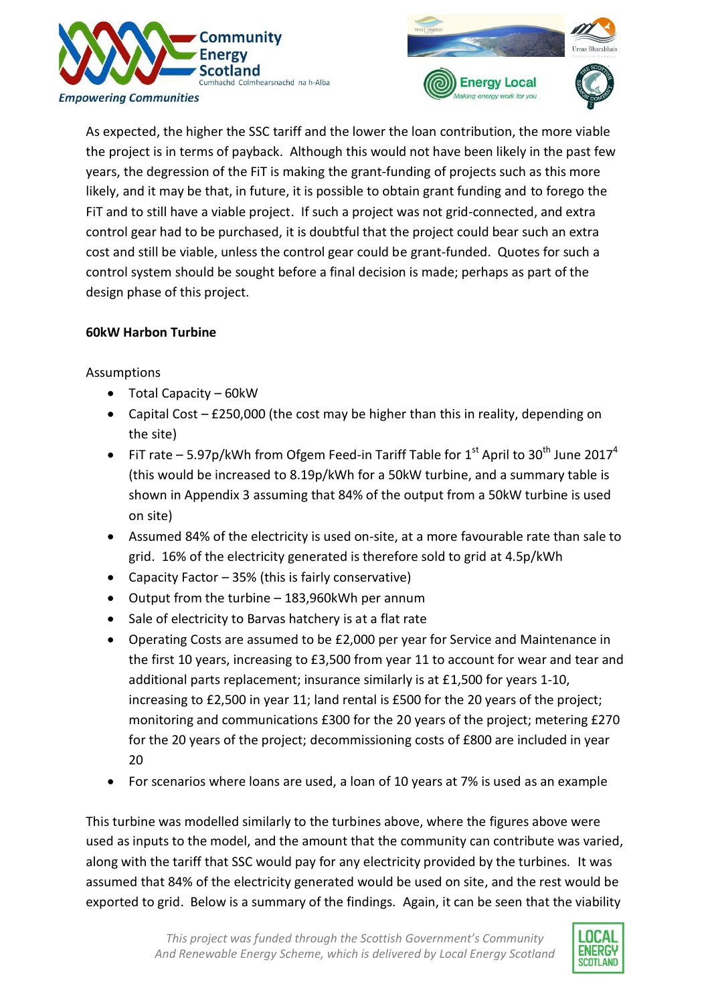



As expected, the higher the SSC tariff and the lower the loan contribution, the more viable the project is in terms of payback. Although this would not have been likely in the past few years, the degression of the FiT is making the grant-funding of projects such as this more likely, and it may be that, in future, it is possible to obtain grant funding and to forego the FiT and to still have a viable project. If such a project was not grid-connected, and extra control gear had to be purchased, it is doubtful that the project could bear such an extra cost and still be viable, unless the control gear could be grant-funded. Quotes for such a control system should be sought before a final decision is made; perhaps as part of the design phase of this project.

## **60kW Harbon Turbine**

## Assumptions

- Total Capacity 60kW
- Capital Cost  $-$  £250,000 (the cost may be higher than this in reality, depending on the site)
- FiT rate 5.97p/kWh from Ofgem Feed-in Tariff Table for  $1^{st}$  April to 30<sup>th</sup> June 2017<sup>4</sup> (this would be increased to 8.19p/kWh for a 50kW turbine, and a summary table is shown in Appendix 3 assuming that 84% of the output from a 50kW turbine is used on site)
- Assumed 84% of the electricity is used on-site, at a more favourable rate than sale to grid. 16% of the electricity generated is therefore sold to grid at 4.5p/kWh
- Capacity Factor 35% (this is fairly conservative)
- Output from the turbine 183,960kWh per annum
- Sale of electricity to Barvas hatchery is at a flat rate
- Operating Costs are assumed to be £2,000 per year for Service and Maintenance in the first 10 years, increasing to £3,500 from year 11 to account for wear and tear and additional parts replacement; insurance similarly is at £1,500 for years 1-10, increasing to £2,500 in year 11; land rental is £500 for the 20 years of the project; monitoring and communications £300 for the 20 years of the project; metering £270 for the 20 years of the project; decommissioning costs of £800 are included in year 20
- For scenarios where loans are used, a loan of 10 years at 7% is used as an example

This turbine was modelled similarly to the turbines above, where the figures above were used as inputs to the model, and the amount that the community can contribute was varied, along with the tariff that SSC would pay for any electricity provided by the turbines. It was assumed that 84% of the electricity generated would be used on site, and the rest would be exported to grid. Below is a summary of the findings. Again, it can be seen that the viability

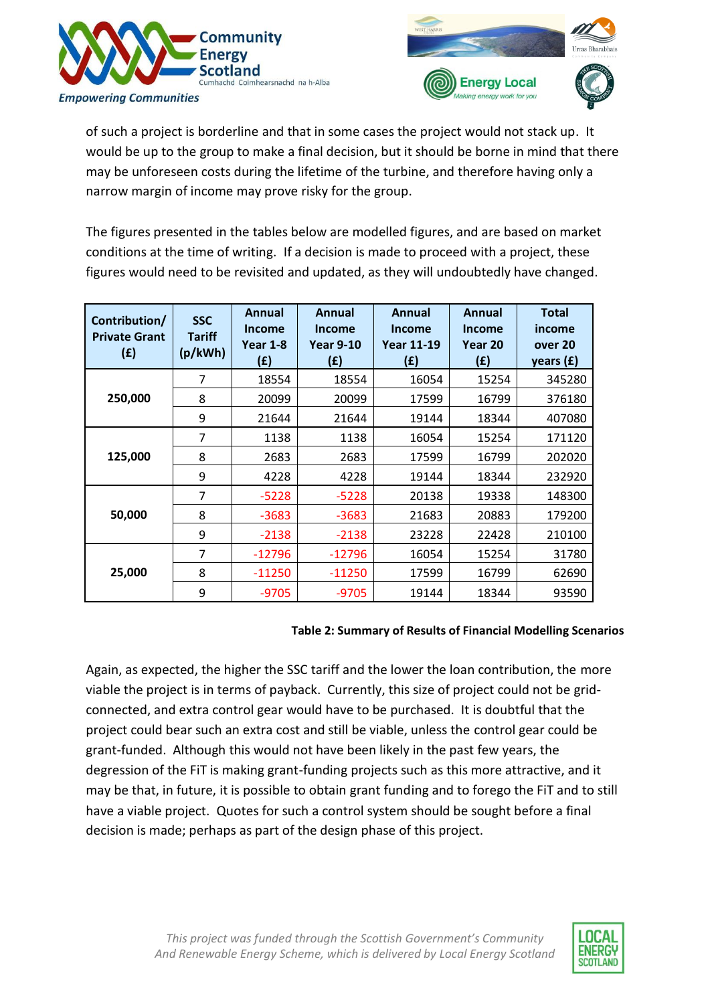



of such a project is borderline and that in some cases the project would not stack up. It would be up to the group to make a final decision, but it should be borne in mind that there may be unforeseen costs during the lifetime of the turbine, and therefore having only a narrow margin of income may prove risky for the group.

The figures presented in the tables below are modelled figures, and are based on market conditions at the time of writing. If a decision is made to proceed with a project, these figures would need to be revisited and updated, as they will undoubtedly have changed.

| Contribution/<br><b>Private Grant</b><br>(E) | <b>SSC</b><br><b>Tariff</b><br>(p/kWh) | <b>Annual</b><br>Income<br><b>Year 1-8</b><br>(f) | Annual<br><b>Income</b><br><b>Year 9-10</b><br>(f) | Annual<br><b>Income</b><br><b>Year 11-19</b><br>(f) | Annual<br><b>Income</b><br>Year 20<br>(£) | <b>Total</b><br>income<br>over 20<br>years (£) |
|----------------------------------------------|----------------------------------------|---------------------------------------------------|----------------------------------------------------|-----------------------------------------------------|-------------------------------------------|------------------------------------------------|
| 250,000                                      | 7                                      | 18554                                             | 18554                                              | 16054                                               | 15254                                     | 345280                                         |
|                                              | 8                                      | 20099                                             | 20099                                              | 17599                                               | 16799                                     | 376180                                         |
|                                              | 9                                      | 21644                                             | 21644                                              | 19144                                               | 18344                                     | 407080                                         |
| 125,000                                      | 7                                      | 1138                                              | 1138                                               | 16054                                               | 15254                                     | 171120                                         |
|                                              | 8                                      | 2683                                              | 2683                                               | 17599                                               | 16799                                     | 202020                                         |
|                                              | 9                                      | 4228                                              | 4228                                               | 19144                                               | 18344                                     | 232920                                         |
|                                              | 7                                      | $-5228$                                           | $-5228$                                            | 20138                                               | 19338                                     | 148300                                         |
| 50,000                                       | 8                                      | $-3683$                                           | $-3683$                                            | 21683                                               | 20883                                     | 179200                                         |
|                                              | 9                                      | $-2138$                                           | $-2138$                                            | 23228                                               | 22428                                     | 210100                                         |
| 25,000                                       | 7                                      | $-12796$                                          | $-12796$                                           | 16054                                               | 15254                                     | 31780                                          |
|                                              | 8                                      | $-11250$                                          | $-11250$                                           | 17599                                               | 16799                                     | 62690                                          |
|                                              | 9                                      | $-9705$                                           | $-9705$                                            | 19144                                               | 18344                                     | 93590                                          |

#### **Table 2: Summary of Results of Financial Modelling Scenarios**

Again, as expected, the higher the SSC tariff and the lower the loan contribution, the more viable the project is in terms of payback. Currently, this size of project could not be gridconnected, and extra control gear would have to be purchased. It is doubtful that the project could bear such an extra cost and still be viable, unless the control gear could be grant-funded. Although this would not have been likely in the past few years, the degression of the FiT is making grant-funding projects such as this more attractive, and it may be that, in future, it is possible to obtain grant funding and to forego the FiT and to still have a viable project. Quotes for such a control system should be sought before a final decision is made; perhaps as part of the design phase of this project.

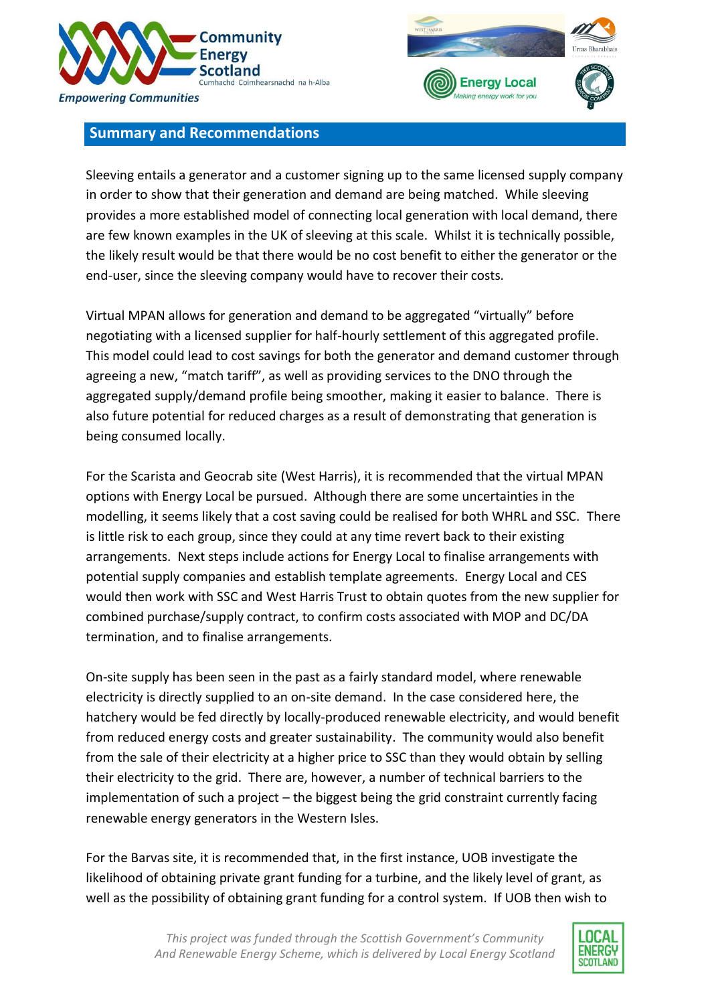



## **Summary and Recommendations**

Sleeving entails a generator and a customer signing up to the same licensed supply company in order to show that their generation and demand are being matched. While sleeving provides a more established model of connecting local generation with local demand, there are few known examples in the UK of sleeving at this scale. Whilst it is technically possible, the likely result would be that there would be no cost benefit to either the generator or the end-user, since the sleeving company would have to recover their costs.

Virtual MPAN allows for generation and demand to be aggregated "virtually" before negotiating with a licensed supplier for half-hourly settlement of this aggregated profile. This model could lead to cost savings for both the generator and demand customer through agreeing a new, "match tariff", as well as providing services to the DNO through the aggregated supply/demand profile being smoother, making it easier to balance. There is also future potential for reduced charges as a result of demonstrating that generation is being consumed locally.

For the Scarista and Geocrab site (West Harris), it is recommended that the virtual MPAN options with Energy Local be pursued. Although there are some uncertainties in the modelling, it seems likely that a cost saving could be realised for both WHRL and SSC. There is little risk to each group, since they could at any time revert back to their existing arrangements. Next steps include actions for Energy Local to finalise arrangements with potential supply companies and establish template agreements. Energy Local and CES would then work with SSC and West Harris Trust to obtain quotes from the new supplier for combined purchase/supply contract, to confirm costs associated with MOP and DC/DA termination, and to finalise arrangements.

On-site supply has been seen in the past as a fairly standard model, where renewable electricity is directly supplied to an on-site demand. In the case considered here, the hatchery would be fed directly by locally-produced renewable electricity, and would benefit from reduced energy costs and greater sustainability. The community would also benefit from the sale of their electricity at a higher price to SSC than they would obtain by selling their electricity to the grid. There are, however, a number of technical barriers to the implementation of such a project – the biggest being the grid constraint currently facing renewable energy generators in the Western Isles.

For the Barvas site, it is recommended that, in the first instance, UOB investigate the likelihood of obtaining private grant funding for a turbine, and the likely level of grant, as well as the possibility of obtaining grant funding for a control system. If UOB then wish to

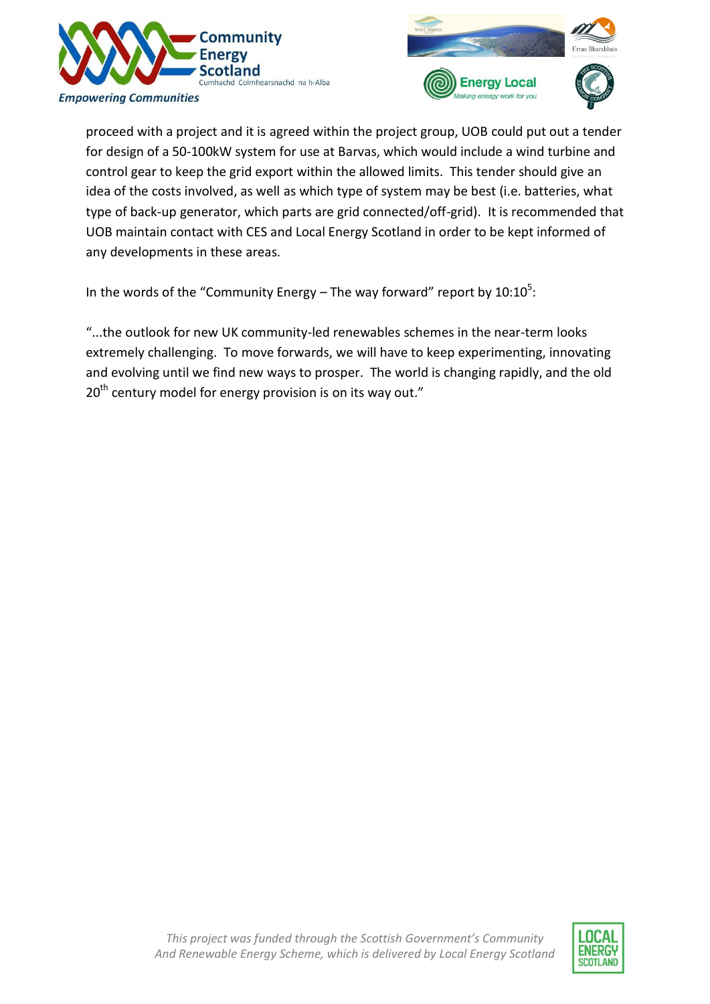



proceed with a project and it is agreed within the project group, UOB could put out a tender for design of a 50-100kW system for use at Barvas, which would include a wind turbine and control gear to keep the grid export within the allowed limits. This tender should give an idea of the costs involved, as well as which type of system may be best (i.e. batteries, what type of back-up generator, which parts are grid connected/off-grid). It is recommended that UOB maintain contact with CES and Local Energy Scotland in order to be kept informed of any developments in these areas.

In the words of the "Community Energy  $-$  The way forward" report by 10:10<sup>5</sup>:

"...the outlook for new UK community-led renewables schemes in the near-term looks extremely challenging. To move forwards, we will have to keep experimenting, innovating and evolving until we find new ways to prosper. The world is changing rapidly, and the old  $20<sup>th</sup>$  century model for energy provision is on its way out."

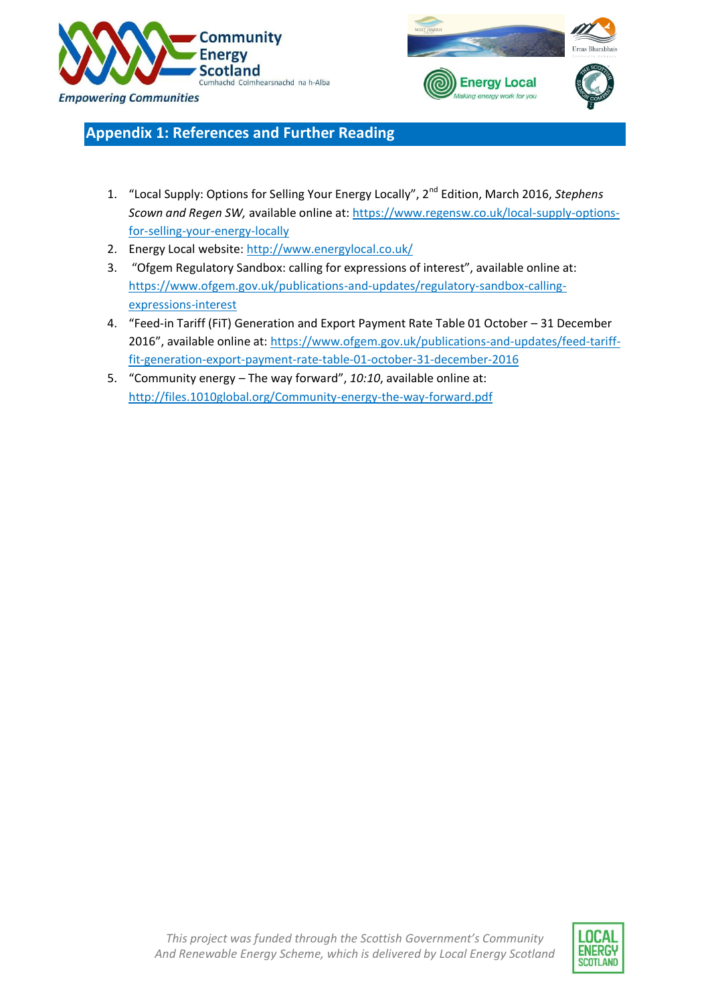



# **Appendix 1: References and Further Reading**

- 1. "Local Supply: Options for Selling Your Energy Locally", 2nd Edition, March 2016, *Stephens Scown and Regen SW,* available online at: [https://www.regensw.co.uk/local-supply-options](https://www.regensw.co.uk/local-supply-options-for-selling-your-energy-locally)[for-selling-your-energy-locally](https://www.regensw.co.uk/local-supply-options-for-selling-your-energy-locally)
- 2. Energy Local website:<http://www.energylocal.co.uk/>
- 3. "Ofgem Regulatory Sandbox: calling for expressions of interest", available online at: [https://www.ofgem.gov.uk/publications-and-updates/regulatory-sandbox-calling](https://www.ofgem.gov.uk/publications-and-updates/regulatory-sandbox-calling-expressions-interest)[expressions-interest](https://www.ofgem.gov.uk/publications-and-updates/regulatory-sandbox-calling-expressions-interest)
- 4. "Feed-in Tariff (FiT) Generation and Export Payment Rate Table 01 October 31 December 2016", available online at: [https://www.ofgem.gov.uk/publications-and-updates/feed-tariff](https://www.ofgem.gov.uk/publications-and-updates/feed-tariff-fit-generation-export-payment-rate-table-01-october-31-december-2016)[fit-generation-export-payment-rate-table-01-october-31-december-2016](https://www.ofgem.gov.uk/publications-and-updates/feed-tariff-fit-generation-export-payment-rate-table-01-october-31-december-2016)
- 5. "Community energy The way forward", *10:10*, available online at: <http://files.1010global.org/Community-energy-the-way-forward.pdf>

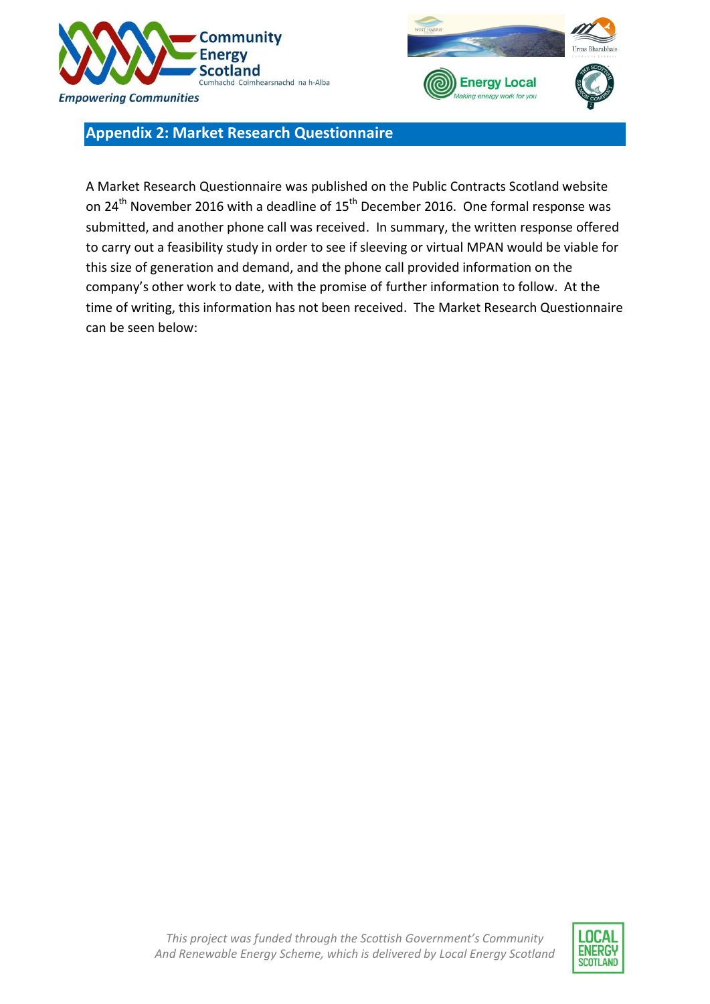



# **Appendix 2: Market Research Questionnaire**

A Market Research Questionnaire was published on the Public Contracts Scotland website on 24<sup>th</sup> November 2016 with a deadline of 15<sup>th</sup> December 2016. One formal response was submitted, and another phone call was received. In summary, the written response offered to carry out a feasibility study in order to see if sleeving or virtual MPAN would be viable for this size of generation and demand, and the phone call provided information on the company's other work to date, with the promise of further information to follow. At the time of writing, this information has not been received. The Market Research Questionnaire can be seen below:

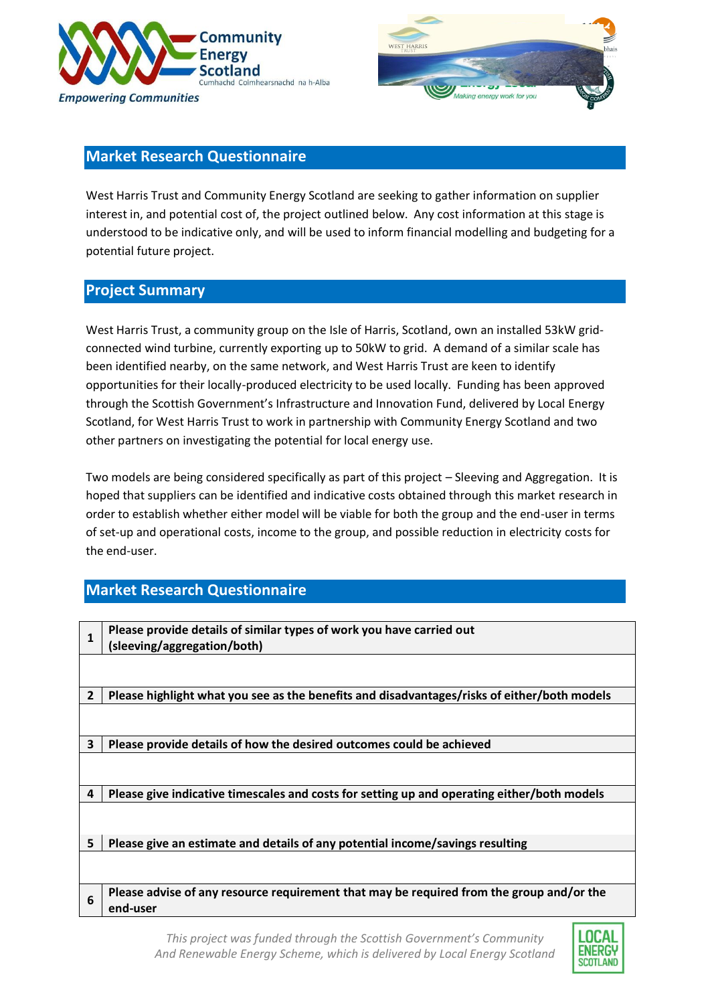



# **Market Research Questionnaire**

West Harris Trust and Community Energy Scotland are seeking to gather information on supplier interest in, and potential cost of, the project outlined below. Any cost information at this stage is understood to be indicative only, and will be used to inform financial modelling and budgeting for a potential future project.

## **Project Summary**

West Harris Trust, a community group on the Isle of Harris, Scotland, own an installed 53kW gridconnected wind turbine, currently exporting up to 50kW to grid. A demand of a similar scale has been identified nearby, on the same network, and West Harris Trust are keen to identify opportunities for their locally-produced electricity to be used locally. Funding has been approved through the Scottish Government's Infrastructure and Innovation Fund, delivered by Local Energy Scotland, for West Harris Trust to work in partnership with Community Energy Scotland and two other partners on investigating the potential for local energy use.

Two models are being considered specifically as part of this project – Sleeving and Aggregation. It is hoped that suppliers can be identified and indicative costs obtained through this market research in order to establish whether either model will be viable for both the group and the end-user in terms of set-up and operational costs, income to the group, and possible reduction in electricity costs for the end-user.

## **Market Research Questionnaire**

| 1 | Please provide details of similar types of work you have carried out<br>(sleeving/aggregation/both)  |
|---|------------------------------------------------------------------------------------------------------|
|   |                                                                                                      |
| 2 | Please highlight what you see as the benefits and disadvantages/risks of either/both models          |
|   |                                                                                                      |
| 3 | Please provide details of how the desired outcomes could be achieved                                 |
|   |                                                                                                      |
| 4 | Please give indicative timescales and costs for setting up and operating either/both models          |
|   |                                                                                                      |
| 5 | Please give an estimate and details of any potential income/savings resulting                        |
|   |                                                                                                      |
| 6 | Please advise of any resource requirement that may be required from the group and/or the<br>end-user |

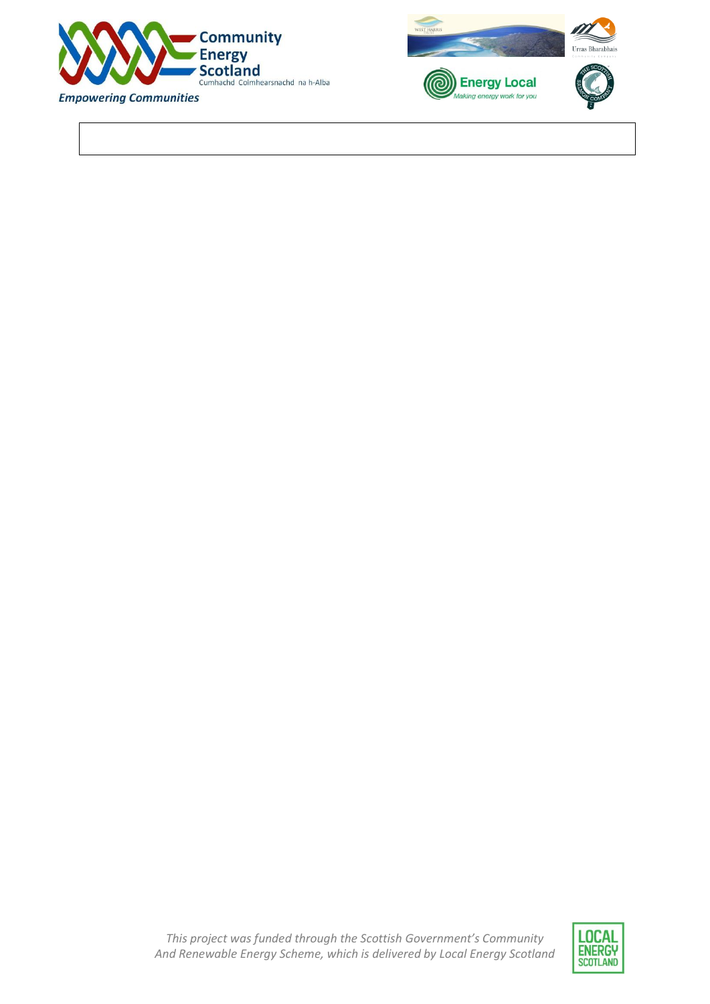



*This project was funded through the Scottish Government's Community And Renewable Energy Scheme, which is delivered by Local Energy Scotland*